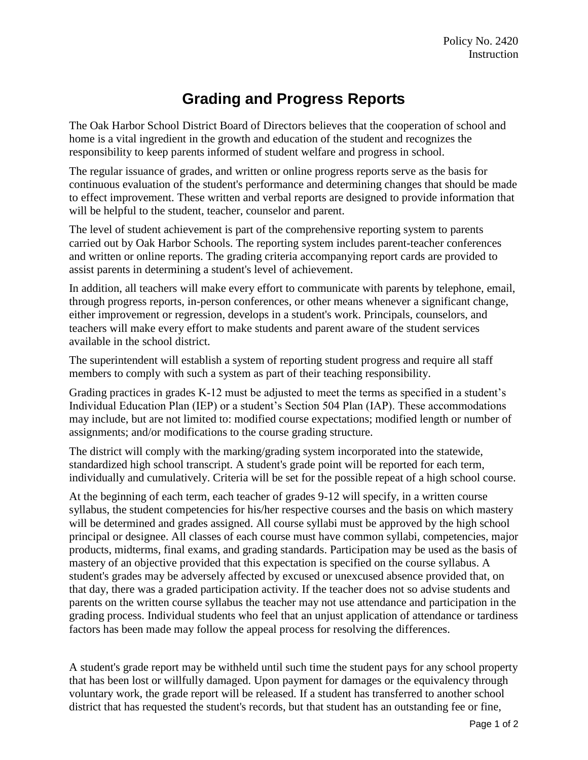## **Grading and Progress Reports**

The Oak Harbor School District Board of Directors believes that the cooperation of school and home is a vital ingredient in the growth and education of the student and recognizes the responsibility to keep parents informed of student welfare and progress in school.

The regular issuance of grades, and written or online progress reports serve as the basis for continuous evaluation of the student's performance and determining changes that should be made to effect improvement. These written and verbal reports are designed to provide information that will be helpful to the student, teacher, counselor and parent.

The level of student achievement is part of the comprehensive reporting system to parents carried out by Oak Harbor Schools. The reporting system includes parent-teacher conferences and written or online reports. The grading criteria accompanying report cards are provided to assist parents in determining a student's level of achievement.

In addition, all teachers will make every effort to communicate with parents by telephone, email, through progress reports, in-person conferences, or other means whenever a significant change, either improvement or regression, develops in a student's work. Principals, counselors, and teachers will make every effort to make students and parent aware of the student services available in the school district.

The superintendent will establish a system of reporting student progress and require all staff members to comply with such a system as part of their teaching responsibility.

Grading practices in grades K-12 must be adjusted to meet the terms as specified in a student's Individual Education Plan (IEP) or a student's Section 504 Plan (IAP). These accommodations may include, but are not limited to: modified course expectations; modified length or number of assignments; and/or modifications to the course grading structure.

The district will comply with the marking/grading system incorporated into the statewide, standardized high school transcript. A student's grade point will be reported for each term, individually and cumulatively. Criteria will be set for the possible repeat of a high school course.

At the beginning of each term, each teacher of grades 9-12 will specify, in a written course syllabus, the student competencies for his/her respective courses and the basis on which mastery will be determined and grades assigned. All course syllabi must be approved by the high school principal or designee. All classes of each course must have common syllabi, competencies, major products, midterms, final exams, and grading standards. Participation may be used as the basis of mastery of an objective provided that this expectation is specified on the course syllabus. A student's grades may be adversely affected by excused or unexcused absence provided that, on that day, there was a graded participation activity. If the teacher does not so advise students and parents on the written course syllabus the teacher may not use attendance and participation in the grading process. Individual students who feel that an unjust application of attendance or tardiness factors has been made may follow the appeal process for resolving the differences.

A student's grade report may be withheld until such time the student pays for any school property that has been lost or willfully damaged. Upon payment for damages or the equivalency through voluntary work, the grade report will be released. If a student has transferred to another school district that has requested the student's records, but that student has an outstanding fee or fine,